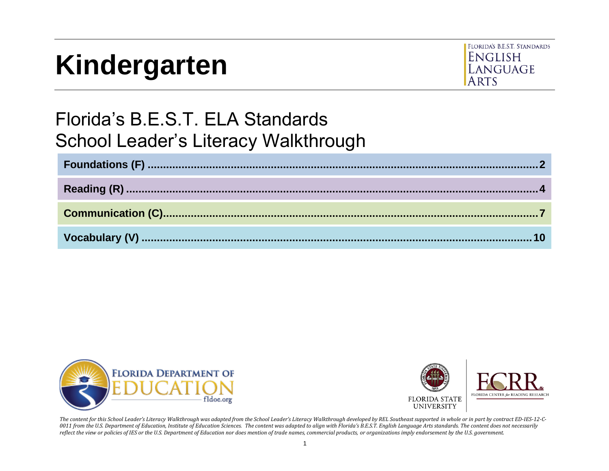# **Kindergarten**



# Florida's B.E.S.T. ELA Standards School Leader's Literacy Walkthrough





*The content for this School Leader's Literacy Walkthrough was adapted from the School Leader's Literacy Walkthrough developed by REL Southeast supported in whole or in part by contract ED-IES-12-C-*0011 from the U.S. Department of Education, Institute of Education Sciences. The content was adapted to align with Florida's B.E.S.T. English Language Arts standards. The content does not necessarily *reflect the view or policies of IES or the U.S. Department of Education nor does mention of trade names, commercial products, or organizations imply endorsement by the U.S. government.*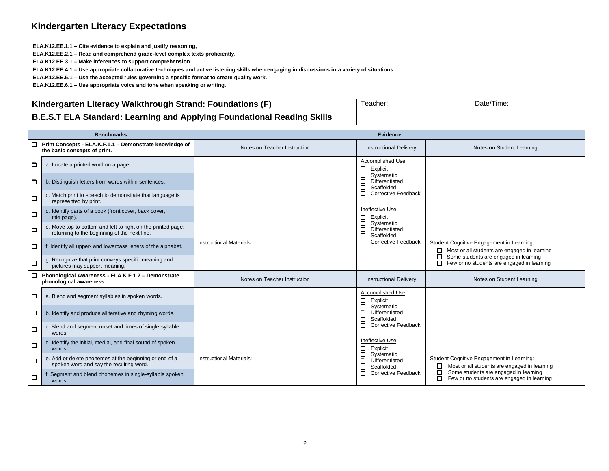#### **Kindergarten Literacy Expectations**

**ELA.K12.EE.1.1 – Cite evidence to explain and justify reasoning,**

**ELA.K12.EE.2.1 – Read and comprehend grade-level complex texts proficiently.**

**ELA.K12.EE.3.1 – Make inferences to support comprehension.**

**ELA.K12.EE.4.1 – Use appropriate collaborative techniques and active listening skills when engaging in discussions in a variety of situations.**

**ELA.K12.EE.5.1 – Use the accepted rules governing a specific format to create quality work.**

**ELA.K12.EE.6.1 – Use appropriate voice and tone when speaking or writing.**

#### <span id="page-1-0"></span>**Kindergarten Literacy Walkthrough Strand: Foundations (F)**

| Teacher: | Date/Time: |
|----------|------------|
|          |            |
|          |            |

#### **B.E.S.T ELA Standard: Learning and Applying Foundational Reading Skills**

|        | <b>Benchmarks</b>                                                                                            | <b>Evidence</b>                 |                                                                |                                                                                                  |
|--------|--------------------------------------------------------------------------------------------------------------|---------------------------------|----------------------------------------------------------------|--------------------------------------------------------------------------------------------------|
| □      | Print Concepts - ELA.K.F.1.1 - Demonstrate knowledge of<br>the basic concepts of print.                      | Notes on Teacher Instruction    | <b>Instructional Delivery</b>                                  | Notes on Student Learning                                                                        |
| □      | a. Locate a printed word on a page.                                                                          |                                 | Accomplished Use<br>□<br>Explicit                              |                                                                                                  |
| □      | b. Distinguish letters from words within sentences.                                                          |                                 | □<br>Systematic<br>П<br>Differentiated<br>Scaffolded<br>□      |                                                                                                  |
| □      | c. Match print to speech to demonstrate that language is<br>represented by print.                            |                                 | П<br><b>Corrective Feedback</b>                                |                                                                                                  |
| ▫      | d. Identify parts of a book (front cover, back cover,<br>title page).                                        |                                 | Ineffective Use<br>□<br>Explicit<br>Systematic<br>$\Box$       |                                                                                                  |
| □      | e. Move top to bottom and left to right on the printed page;<br>returning to the beginning of the next line. |                                 | Differentiated<br>$\Box$<br>П<br>Scaffolded                    |                                                                                                  |
| □      | f. Identify all upper- and lowercase letters of the alphabet.                                                | <b>Instructional Materials:</b> | П<br><b>Corrective Feedback</b>                                | Student Cognitive Engagement in Learning:<br>$\Box$ Most or all students are engaged in learning |
| □      | g. Recognize that print conveys specific meaning and<br>pictures may support meaning.                        |                                 |                                                                | Some students are engaged in learning<br>◻<br>Few or no students are engaged in learning<br>п    |
| $\Box$ | Phonological Awareness - ELA.K.F.1.2 - Demonstrate<br>phonological awareness.                                | Notes on Teacher Instruction    | <b>Instructional Delivery</b>                                  | Notes on Student Learning                                                                        |
| □      | a. Blend and segment syllables in spoken words.                                                              |                                 | Accomplished Use<br>Explicit<br>□                              |                                                                                                  |
| □      | b. Identify and produce alliterative and rhyming words.                                                      |                                 | Systematic<br>□<br>$\Box$<br>Differentiated<br>П<br>Scaffolded |                                                                                                  |
| $\Box$ | c. Blend and segment onset and rimes of single-syllable<br>words.                                            |                                 | □<br><b>Corrective Feedback</b>                                |                                                                                                  |
| □      | d. Identify the initial, medial, and final sound of spoken<br>words.                                         |                                 | Ineffective Use<br>Explicit<br>□                               |                                                                                                  |
| О      | e. Add or delete phonemes at the beginning or end of a<br>spoken word and say the resulting word.            | <b>Instructional Materials:</b> | Systematic<br>□<br>Differentiated<br>□<br>$\Box$<br>Scaffolded | Student Cognitive Engagement in Learning:<br>Most or all students are engaged in learning        |
| $\Box$ | f. Segment and blend phonemes in single-syllable spoken<br>words.                                            |                                 | П<br><b>Corrective Feedback</b>                                | Some students are engaged in learning<br>□<br>Few or no students are engaged in learning<br>◻    |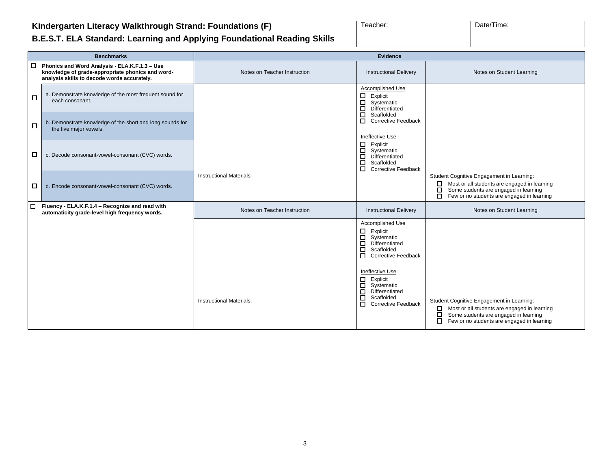#### **Kindergarten Literacy Walkthrough Strand: Foundations (F)**

| Teacher: | Date/Time: |
|----------|------------|
|          |            |

### **B.E.S.T. ELA Standard: Learning and Applying Foundational Reading Skills**

|   | <b>Benchmarks</b>                                                                                                                                       | <b>Evidence</b>                 |                                                                                                                                                                                                                                                                                                |                                                                                                                                                                                                      |
|---|---------------------------------------------------------------------------------------------------------------------------------------------------------|---------------------------------|------------------------------------------------------------------------------------------------------------------------------------------------------------------------------------------------------------------------------------------------------------------------------------------------|------------------------------------------------------------------------------------------------------------------------------------------------------------------------------------------------------|
|   | $\Box$ Phonics and Word Analysis - ELA.K.F.1.3 - Use<br>knowledge of grade-appropriate phonics and word-<br>analysis skills to decode words accurately. | Notes on Teacher Instruction    | <b>Instructional Delivery</b>                                                                                                                                                                                                                                                                  | Notes on Student Learning                                                                                                                                                                            |
| □ | a. Demonstrate knowledge of the most frequent sound for<br>each consonant.                                                                              |                                 | Accomplished Use<br>$\Box$<br>Explicit<br>$\Box$<br>Systematic<br>Differentiated<br>□                                                                                                                                                                                                          |                                                                                                                                                                                                      |
| ◻ | b. Demonstrate knowledge of the short and long sounds for<br>the five major vowels.                                                                     |                                 | $\Box$<br>Scaffolded<br>$\Box$<br><b>Corrective Feedback</b><br>Ineffective Use                                                                                                                                                                                                                |                                                                                                                                                                                                      |
| □ | c. Decode consonant-vowel-consonant (CVC) words.                                                                                                        |                                 | $\Box$<br>Explicit<br>$\Box$<br>Systematic<br>Differentiated<br>□<br>□<br>Scaffolded<br>$\Box$<br><b>Corrective Feedback</b>                                                                                                                                                                   |                                                                                                                                                                                                      |
| 0 | d. Encode consonant-vowel-consonant (CVC) words.                                                                                                        | <b>Instructional Materials:</b> |                                                                                                                                                                                                                                                                                                | Student Cognitive Engagement in Learning:<br>Most or all students are engaged in learning<br>□<br>Some students are engaged in learning<br>□<br>□<br>Few or no students are engaged in learning      |
| 0 | Fluency - ELA.K.F.1.4 - Recognize and read with<br>automaticity grade-level high frequency words.                                                       | Notes on Teacher Instruction    | <b>Instructional Delivery</b>                                                                                                                                                                                                                                                                  | Notes on Student Learning                                                                                                                                                                            |
|   |                                                                                                                                                         | <b>Instructional Materials:</b> | Accomplished Use<br>$\Box$<br>Explicit<br>$\Box$<br>Systematic<br>$\Box$<br>Differentiated<br>$\Box$<br>Scaffolded<br>Corrective Feedback<br>Ineffective Use<br>$\Box$ Explicit<br>$\Box$<br>Systematic<br>Differentiated<br>$\Box$<br>Scaffolded<br>□<br>$\Box$<br><b>Corrective Feedback</b> | Student Cognitive Engagement in Learning:<br>Most or all students are engaged in learning<br>$\Box$<br>Some students are engaged in learning<br>□<br>◻<br>Few or no students are engaged in learning |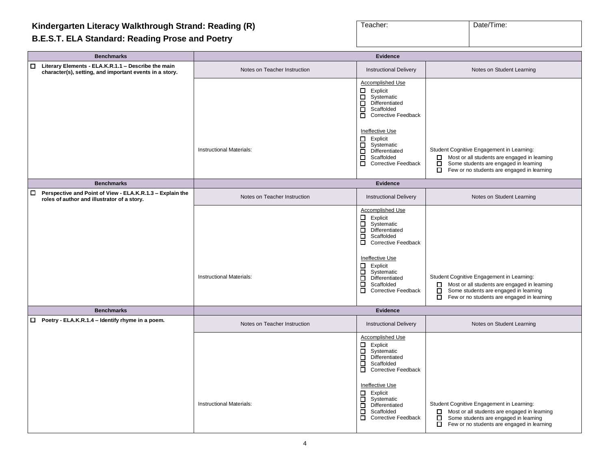# <span id="page-3-0"></span>**Kindergarten Literacy Walkthrough Strand: Reading (R)**

#### **B.E.S.T. ELA Standard: Reading Prose and Poetry**

| Teacher: | Date/Time: |
|----------|------------|
|          |            |

| <b>Benchmarks</b>                                                                                                     | <b>Evidence</b>                 |                                                                                                                                                                                                                                                                                         |                                                                                                                                                                                                             |
|-----------------------------------------------------------------------------------------------------------------------|---------------------------------|-----------------------------------------------------------------------------------------------------------------------------------------------------------------------------------------------------------------------------------------------------------------------------------------|-------------------------------------------------------------------------------------------------------------------------------------------------------------------------------------------------------------|
| $\Box$ Literary Elements - ELA.K.R.1.1 - Describe the main<br>character(s), setting, and important events in a story. | Notes on Teacher Instruction    | <b>Instructional Delivery</b>                                                                                                                                                                                                                                                           | Notes on Student Learning                                                                                                                                                                                   |
|                                                                                                                       |                                 | Accomplished Use<br>Explicit<br>0<br>Systematic<br>$\Box$<br>Differentiated<br>П.<br>Scaffolded<br><b>Corrective Feedback</b><br>$\Box$<br>Ineffective Use                                                                                                                              |                                                                                                                                                                                                             |
|                                                                                                                       | <b>Instructional Materials:</b> | Explicit<br>□<br>$\Box$<br>Systematic<br>Differentiated<br>П<br>$\Box$<br>Scaffolded<br>$\Box$<br><b>Corrective Feedback</b>                                                                                                                                                            | Student Cognitive Engagement in Learning:<br>Most or all students are engaged in learning<br>$\Box$<br>Some students are engaged in learning<br>$\Box$<br>$\Box$ Few or no students are engaged in learning |
| <b>Benchmarks</b>                                                                                                     |                                 | Evidence                                                                                                                                                                                                                                                                                |                                                                                                                                                                                                             |
| Perspective and Point of View - ELA.K.R.1.3 - Explain the<br>$\Box$<br>roles of author and illustrator of a story.    | Notes on Teacher Instruction    | <b>Instructional Delivery</b>                                                                                                                                                                                                                                                           | Notes on Student Learning                                                                                                                                                                                   |
|                                                                                                                       | <b>Instructional Materials:</b> | Accomplished Use<br>$\Box$<br>Explicit<br>$\Box$<br>Systematic<br>Differentiated<br>о<br>0<br>Scaffolded<br>Corrective Feedback<br><b>Ineffective Use</b><br>Explicit<br>$\Box$<br>Systematic<br>Differentiated<br>П<br>$\Box$<br>Scaffolded<br>О.<br><b>Corrective Feedback</b>        | Student Cognitive Engagement in Learning:<br>Most or all students are engaged in learning<br>$\Box$<br>П.<br>Some students are engaged in learning<br>$\Box$ Few or no students are engaged in learning     |
| <b>Benchmarks</b>                                                                                                     |                                 | Evidence                                                                                                                                                                                                                                                                                |                                                                                                                                                                                                             |
| $\Box$ Poetry - ELA.K.R.1.4 – Identify rhyme in a poem.                                                               | Notes on Teacher Instruction    | <b>Instructional Delivery</b>                                                                                                                                                                                                                                                           | Notes on Student Learning                                                                                                                                                                                   |
|                                                                                                                       | <b>Instructional Materials:</b> | <b>Accomplished Use</b><br>Explicit<br>0<br>Systematic<br>$\Box$<br>Differentiated<br>□<br>$\Box$<br>Scaffolded<br>Corrective Feedback<br><b>Ineffective Use</b><br>Explicit<br>0<br>$\Box$<br>Systematic<br>Differentiated<br>П.<br>о<br>Scaffolded<br>о<br><b>Corrective Feedback</b> | Student Cognitive Engagement in Learning:<br>Most or all students are engaged in learning<br>□<br>Some students are engaged in learning<br>Β<br>Few or no students are engaged in learning                  |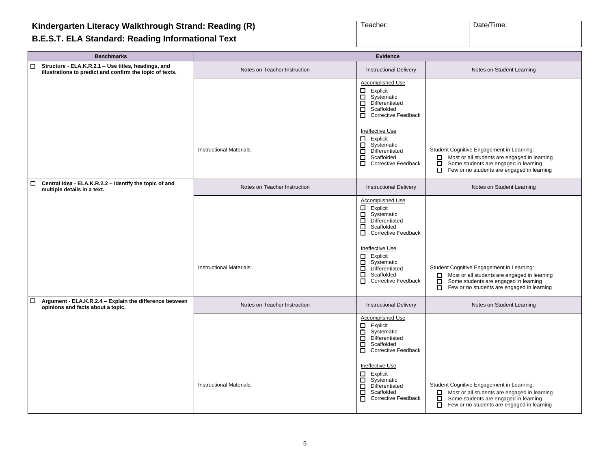#### **B.E.S.T. ELA Standard: Reading Informational Text**

| Teacher: | Date/Time: |
|----------|------------|
|          |            |

| <b>Benchmarks</b>                                                                                                         | <b>Evidence</b>                 |                                                                                                                                                                                                                                                                                             |                                                                                                                                                                                                        |
|---------------------------------------------------------------------------------------------------------------------------|---------------------------------|---------------------------------------------------------------------------------------------------------------------------------------------------------------------------------------------------------------------------------------------------------------------------------------------|--------------------------------------------------------------------------------------------------------------------------------------------------------------------------------------------------------|
| Structure - ELA.K.R.2.1 - Use titles, headings, and<br>$\Box$<br>illustrations to predict and confirm the topic of texts. | Notes on Teacher Instruction    | <b>Instructional Delivery</b>                                                                                                                                                                                                                                                               | Notes on Student Learning                                                                                                                                                                              |
|                                                                                                                           |                                 | Accomplished Use<br>Explicit<br>0<br>Systematic<br>□<br>$\Box$<br>Differentiated<br>Scaffolded<br>□<br><b>Corrective Feedback</b>                                                                                                                                                           |                                                                                                                                                                                                        |
|                                                                                                                           | Instructional Materials:        | Ineffective Use<br>Explicit<br>□<br>Systematic<br>□<br>$\Box$<br>Differentiated<br>Scaffolded<br>□<br>$\Box$<br><b>Corrective Feedback</b>                                                                                                                                                  | Student Cognitive Engagement in Learning:<br>Most or all students are engaged in learning<br>Some students are engaged in learning<br>□<br>Few or no students are engaged in learning<br>$\Box$        |
| $\Box$<br>Central Idea - ELA.K.R.2.2 - Identify the topic of and<br>multiple details in a text.                           | Notes on Teacher Instruction    | <b>Instructional Delivery</b>                                                                                                                                                                                                                                                               | Notes on Student Learning                                                                                                                                                                              |
|                                                                                                                           | Instructional Materials:        | Accomplished Use<br>$\Box$ Explicit<br>$\Box$<br>Systematic<br>П<br>Differentiated<br>П<br>Scaffolded<br>$\Box$<br><b>Corrective Feedback</b><br>Ineffective Use<br>□<br>Explicit<br>Systematic<br>$\Box$<br>$\Box$<br>Differentiated<br>□<br>Scaffolded<br>П<br><b>Corrective Feedback</b> | Student Cognitive Engagement in Learning:<br>Most or all students are engaged in learning<br>$\Box$<br>Some students are engaged in learning<br>□<br>Few or no students are engaged in learning<br>о   |
| Argument - ELA.K.R.2.4 - Explain the difference between<br>$\Box$<br>opinions and facts about a topic.                    | Notes on Teacher Instruction    | <b>Instructional Delivery</b>                                                                                                                                                                                                                                                               | Notes on Student Learning                                                                                                                                                                              |
|                                                                                                                           | <b>Instructional Materials:</b> | Accomplished Use<br>Explicit<br>0<br>$\Box$<br>Systematic<br>Differentiated<br>0<br>Scaffolded<br>□<br>Corrective Feedback<br>Ineffective Use<br>Explicit<br>□<br>□<br>Systematic<br>Differentiated<br>□<br>□<br>Scaffolded<br><b>Corrective Feedback</b><br>$\Box$                         | Student Cognitive Engagement in Learning:<br>Most or all students are engaged in learning<br>$\Box$<br>Some students are engaged in learning<br>□<br>$\Box$ Few or no students are engaged in learning |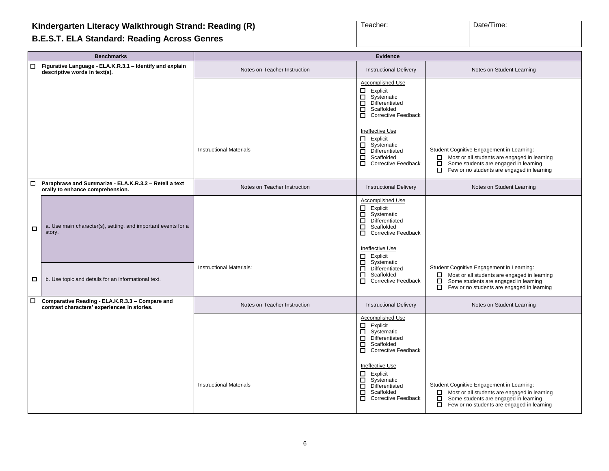#### **Kindergarten Literacy Walkthrough Strand: Reading (R)**

#### **B.E.S.T. ELA Standard: Reading Across Genres**

| Teacher: | Date/Time: |
|----------|------------|
|          |            |

**Benchmarks Evidence** ❑ **Figurative Language - ELA.K.R.3.1 – Identify and explain descriptive words in text(s).** Notes on Teacher Instruction **Instruction** Instructional Delivery Notes on Student Learning descriptive words in text(s). Accomplished Use □ Explicit<br>□ Systema □ Systematic<br>□ Differentiate □ Differentiated<br>□ Scaffolded □ Scaffolded<br>□ Corrective F ❑ Corrective Feedback Ineffective Use ❑ Explicit □ Systematic<br>□ Differentiate □ Differentiated<br>□ Scaffolded ❑ Scaffolded □ Corrective Feedback Instructional Materials **Student Constructional Materials Constructional Materials Cognitive Engagement in Learning:**  $\Box$  Most or all students are engaged in learning  $\Box$  Some students are engaged in learning Some students are engaged in learning  $\Box$  Few or no students are engaged in learning ❑ **Paraphrase and Summarize - ELA.K.R.3.2 – Retell a text orally to enhance comprehension.** Notes on Teacher Instruction **Instruction** Instructional Delivery Notes on Student Learning or ally to enhance comprehension. ❑ a. Use main character(s), setting, and important events for a story. Accomplished Use ❑ Explicit □ Systematic<br>□ Differentiate □ Differentiated<br>□ Scaffolded Scaffolded  $\overline{\Pi}$  Corrective Feedback Ineffective Use □ Explicit<br>□ Systema **Systematic** □ Differentiated<br>□ Scaffolded □ Scaffolded<br>□ Corrective Feedback  $\Box$  b. Use topic and details for an informational text. Instructional Materials: Student Cognitive Engagement in Learning: ❑ Most or all students are engaged in learning ❑ Some students are engaged in learning ❑ Few or no students are engaged in learning ❑ **Comparative Reading - ELA.K.R.3.3 – Compare and contrast characters' experiences in stories.** Notes on Teacher Instruction **Instruction** Instructional Delivery Notes on Student Learning Contrast characters' experiences in stories. Accomplished Use □ Explicit<br>□ Systema □ Systematic<br>□ Differentiate □ Differentiated<br>□ Scaffolded □ Scaffolded ❑ Corrective Feedback Ineffective Use ❑ Explicit ❑ Systematic □ Differentiated<br>□ Scaffolded ❑ Scaffolded ❑ Corrective Feedback Instructional Materials **Student Cognitive Engagement in Learning:**  $\overline{\Box}$  Differentiated Student Cognitive Engagement in Learning:  $\Box$  Most or all students are engaged in learning  $\Box$  Some students are engaged in learning Some students are engaged in learning ❑ Few or no students are engaged in learning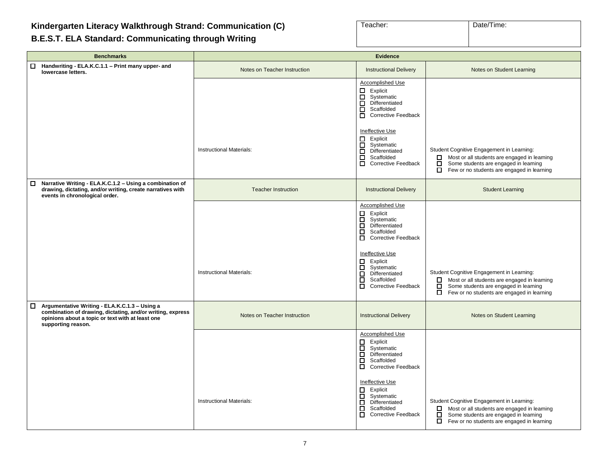# <span id="page-6-0"></span>**Kindergarten Literacy Walkthrough Strand: Communication (C)**

# **B.E.S.T. ELA Standard: Communicating through Writing**

| Teacher: | Date/Time: |
|----------|------------|
|          |            |
|          |            |

| <b>Benchmarks</b>                                                                                                                                                                     | <b>Evidence</b>                 |                                                                                                                                                                                                                                            |                                                                                                                                                                                                  |
|---------------------------------------------------------------------------------------------------------------------------------------------------------------------------------------|---------------------------------|--------------------------------------------------------------------------------------------------------------------------------------------------------------------------------------------------------------------------------------------|--------------------------------------------------------------------------------------------------------------------------------------------------------------------------------------------------|
| Handwriting - ELA.K.C.1.1 - Print many upper- and<br>$\Box$<br>lowercase letters.                                                                                                     | Notes on Teacher Instruction    | <b>Instructional Delivery</b>                                                                                                                                                                                                              | Notes on Student Learning                                                                                                                                                                        |
|                                                                                                                                                                                       |                                 | Accomplished Use<br>Explicit<br>$\Box$<br>Systematic<br>$\Box$<br>Differentiated<br>О<br>Scaffolded<br>$\Box$<br><b>Corrective Feedback</b>                                                                                                |                                                                                                                                                                                                  |
|                                                                                                                                                                                       | <b>Instructional Materials:</b> | Ineffective Use<br>Explicit<br>$\Box$<br>Systematic<br>Differentiated<br>□<br>$\Box$<br>Scaffolded<br>□<br><b>Corrective Feedback</b>                                                                                                      | Student Cognitive Engagement in Learning:<br>Most or all students are engaged in learning<br>0<br>П<br>Some students are engaged in learning<br>о<br>Few or no students are engaged in learning  |
| Narrative Writing - ELA.K.C.1.2 - Using a combination of<br>□<br>drawing, dictating, and/or writing, create narratives with<br>events in chronological order.                         | <b>Teacher Instruction</b>      | <b>Instructional Delivery</b>                                                                                                                                                                                                              | <b>Student Learning</b>                                                                                                                                                                          |
|                                                                                                                                                                                       | <b>Instructional Materials:</b> | Accomplished Use<br>8<br>8<br>Explicit<br>Systematic<br>Differentiated<br>ō<br>Scaffolded<br>Corrective Feedback<br>Ineffective Use<br>о<br>Explicit<br>吕<br>Systematic<br>Differentiated<br>目<br>Scaffolded<br><b>Corrective Feedback</b> | Student Cognitive Engagement in Learning:<br>Most or all students are engaged in learning<br>8<br>Some students are engaged in learning<br>□<br>Few or no students are engaged in learning       |
| Argumentative Writing - ELA.K.C.1.3 - Using a<br>combination of drawing, dictating, and/or writing, express<br>opinions about a topic or text with at least one<br>supporting reason. | Notes on Teacher Instruction    | <b>Instructional Delivery</b>                                                                                                                                                                                                              | Notes on Student Learning                                                                                                                                                                        |
|                                                                                                                                                                                       |                                 | <b>Accomplished Use</b><br>□<br>Explicit<br>ō<br>Systematic<br>ō<br>Differentiated<br>$\Box$<br>Scaffolded<br>$\Box$<br><b>Corrective Feedback</b>                                                                                         |                                                                                                                                                                                                  |
|                                                                                                                                                                                       | Instructional Materials:        | Ineffective Use<br>吕<br>Explicit<br>Systematic<br>□<br>Differentiated<br>ō<br>Scaffolded<br>о<br><b>Corrective Feedback</b>                                                                                                                | Student Cognitive Engagement in Learning:<br>Most or all students are engaged in learning<br>0.<br>□<br>Some students are engaged in learning<br>П<br>Few or no students are engaged in learning |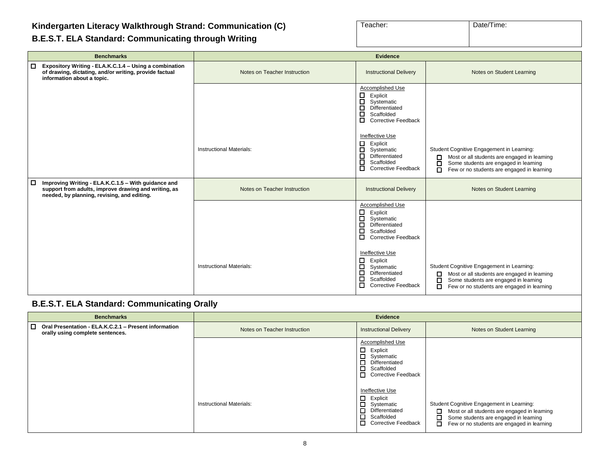#### **Kindergarten Literacy Walkthrough Strand: Communication (C)**

| Teacher: | Date/Time: |
|----------|------------|
|          |            |

#### **B.E.S.T. ELA Standard: Communicating through Writing**

| <b>Benchmarks</b>                                                                                                                                                    | <b>Evidence</b>                 |                                                                                                                                         |                                                                                                                                                                                                      |
|----------------------------------------------------------------------------------------------------------------------------------------------------------------------|---------------------------------|-----------------------------------------------------------------------------------------------------------------------------------------|------------------------------------------------------------------------------------------------------------------------------------------------------------------------------------------------------|
| Expository Writing - ELA.K.C.1.4 - Using a combination<br>□<br>of drawing, dictating, and/or writing, provide factual<br>information about a topic.                  | Notes on Teacher Instruction    | <b>Instructional Delivery</b>                                                                                                           | Notes on Student Learning                                                                                                                                                                            |
|                                                                                                                                                                      |                                 | Accomplished Use<br>□<br>Explicit<br>□<br>Systematic<br>□<br>Differentiated<br>о<br>Scaffolded<br>□<br><b>Corrective Feedback</b>       |                                                                                                                                                                                                      |
|                                                                                                                                                                      | <b>Instructional Materials:</b> | Ineffective Use<br>$\Box$<br>Explicit<br>П.<br>Systematic<br>П<br>Differentiated<br>□<br>Scaffolded<br>О.<br><b>Corrective Feedback</b> | Student Cognitive Engagement in Learning:<br>Most or all students are engaged in learning<br>□<br>Some students are engaged in learning<br>П<br>Few or no students are engaged in learning<br>n      |
| Improving Writing - ELA.K.C.1.5 - With guidance and<br>$\Box$<br>support from adults, improve drawing and writing, as<br>needed, by planning, revising, and editing. | Notes on Teacher Instruction    | <b>Instructional Delivery</b>                                                                                                           | Notes on Student Learning                                                                                                                                                                            |
|                                                                                                                                                                      |                                 | Accomplished Use<br>Explicit<br>□<br>□<br>Systematic<br>□<br>Differentiated<br>$\Box$<br>Scaffolded<br>0<br><b>Corrective Feedback</b>  |                                                                                                                                                                                                      |
|                                                                                                                                                                      | Instructional Materials:        | Ineffective Use<br>□<br>Explicit<br>□<br>Systematic<br>$\Box$<br>Differentiated<br>□<br>Scaffolded<br>0<br><b>Corrective Feedback</b>   | Student Cognitive Engagement in Learning:<br>Most or all students are engaged in learning<br>□<br>Some students are engaged in learning<br>$\Box$<br>Few or no students are engaged in learning<br>п |
| <b>B.E.S.T. ELA Standard: Communicating Orally</b>                                                                                                                   |                                 |                                                                                                                                         |                                                                                                                                                                                                      |
| <b>Benchmarks</b>                                                                                                                                                    |                                 | <b>Evidence</b>                                                                                                                         |                                                                                                                                                                                                      |
| □ Oral Presentation - ELA.K.C.2.1 - Present information<br>orally using complete sentences.                                                                          | Notes on Teacher Instruction    | <b>Instructional Delivery</b>                                                                                                           | Notes on Student Learning                                                                                                                                                                            |
|                                                                                                                                                                      |                                 | Accomplished Use<br>□<br>Explicit<br>吕<br>Systematic<br>Differentiated                                                                  |                                                                                                                                                                                                      |

❑ Scaffolded ❑ Corrective Feedback

❑ Most or all students are engaged in learning ❑ Some students are engaged in learning ❑ Few or no students are engaged in learning

Ineffective Use ❑ Explicit ❑ Systematic ❑ Differentiated ❑ Scaffolded ❑ Corrective Feedback

Instructional Materials: The Systematic Cognitive Engagement in Learning: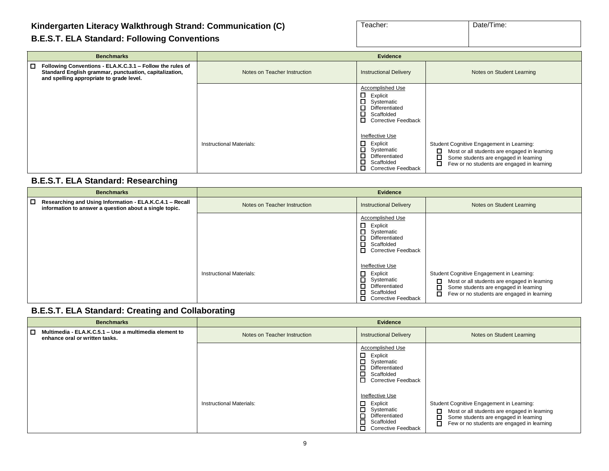#### **Kindergarten Literacy Walkthrough Strand: Communication (C)**

|  |  | <b>B.E.S.T. ELA Standard: Following Conventions</b> |
|--|--|-----------------------------------------------------|
|  |  |                                                     |

| Teacher: | Date/Time: |
|----------|------------|
|          |            |
|          |            |

| <b>Benchmarks</b>                                                                                                                                                      | <b>Evidence</b>                 |                                                                                                                                        |                                                                                                                                                                                                 |
|------------------------------------------------------------------------------------------------------------------------------------------------------------------------|---------------------------------|----------------------------------------------------------------------------------------------------------------------------------------|-------------------------------------------------------------------------------------------------------------------------------------------------------------------------------------------------|
| l 0<br>Following Conventions - ELA.K.C.3.1 - Follow the rules of<br>Standard English grammar, punctuation, capitalization,<br>and spelling appropriate to grade level. | Notes on Teacher Instruction    | <b>Instructional Delivery</b>                                                                                                          | Notes on Student Learning                                                                                                                                                                       |
|                                                                                                                                                                        |                                 | Accomplished Use<br>$\Box$<br>Explicit<br>$\Box$<br>Systematic<br>0<br>Differentiated<br>Scaffolded<br>0<br><b>Corrective Feedback</b> |                                                                                                                                                                                                 |
|                                                                                                                                                                        | <b>Instructional Materials:</b> | Ineffective Use<br>Explicit<br>$\Box$<br>Systematic<br>0<br>Differentiated<br>□<br>Scaffolded<br>$\Box$<br><b>Corrective Feedback</b>  | Student Cognitive Engagement in Learning:<br>□<br>Most or all students are engaged in learning<br>□<br>Some students are engaged in learning<br>□<br>Few or no students are engaged in learning |

#### **B.E.S.T. ELA Standard: Researching**

| <b>Benchmarks</b>                                                                                                            | Evidence                        |                                                                                                                                  |                                                                                                                                                                                                 |
|------------------------------------------------------------------------------------------------------------------------------|---------------------------------|----------------------------------------------------------------------------------------------------------------------------------|-------------------------------------------------------------------------------------------------------------------------------------------------------------------------------------------------|
| $\Box$<br>Researching and Using Information - ELA.K.C.4.1 - Recall<br>information to answer a question about a single topic. | Notes on Teacher Instruction    | <b>Instructional Delivery</b>                                                                                                    | Notes on Student Learning                                                                                                                                                                       |
|                                                                                                                              |                                 | Accomplished Use<br>□<br>Explicit<br>Systematic<br>Differentiated<br>□<br>□<br>Scaffolded<br>П<br><b>Corrective Feedback</b>     |                                                                                                                                                                                                 |
|                                                                                                                              | <b>Instructional Materials:</b> | Ineffective Use<br>□<br>Explicit<br>□<br>Systematic<br>Differentiated<br>□<br>□<br>Scaffolded<br>□<br><b>Corrective Feedback</b> | Student Cognitive Engagement in Learning:<br>□<br>Most or all students are engaged in learning<br>П<br>Some students are engaged in learning<br>□<br>Few or no students are engaged in learning |

#### **B.E.S.T. ELA Standard: Creating and Collaborating**

| <b>Benchmarks</b>                                                                        | <b>Evidence</b>              |                                                                                                                                                        |                                                                                                                                                                                                 |
|------------------------------------------------------------------------------------------|------------------------------|--------------------------------------------------------------------------------------------------------------------------------------------------------|-------------------------------------------------------------------------------------------------------------------------------------------------------------------------------------------------|
| Multimedia - ELA.K.C.5.1 – Use a multimedia element to<br>enhance oral or written tasks. | Notes on Teacher Instruction | <b>Instructional Delivery</b>                                                                                                                          | Notes on Student Learning                                                                                                                                                                       |
|                                                                                          |                              | Accomplished Use<br>$\Box$<br>Explicit<br>$\Box$<br>Systematic<br>$\Box$<br>Differentiated<br>n.<br>Scaffolded<br>$\Box$<br><b>Corrective Feedback</b> |                                                                                                                                                                                                 |
|                                                                                          | Instructional Materials:     | Ineffective Use<br>$\Box$<br>Explicit<br>$\Box$<br>Systematic<br>$\Box$<br>Differentiated<br>$\Box$<br>Scaffolded<br><b>Corrective Feedback</b>        | Student Cognitive Engagement in Learning:<br>П<br>Most or all students are engaged in learning<br>с<br>Some students are engaged in learning<br>О<br>Few or no students are engaged in learning |